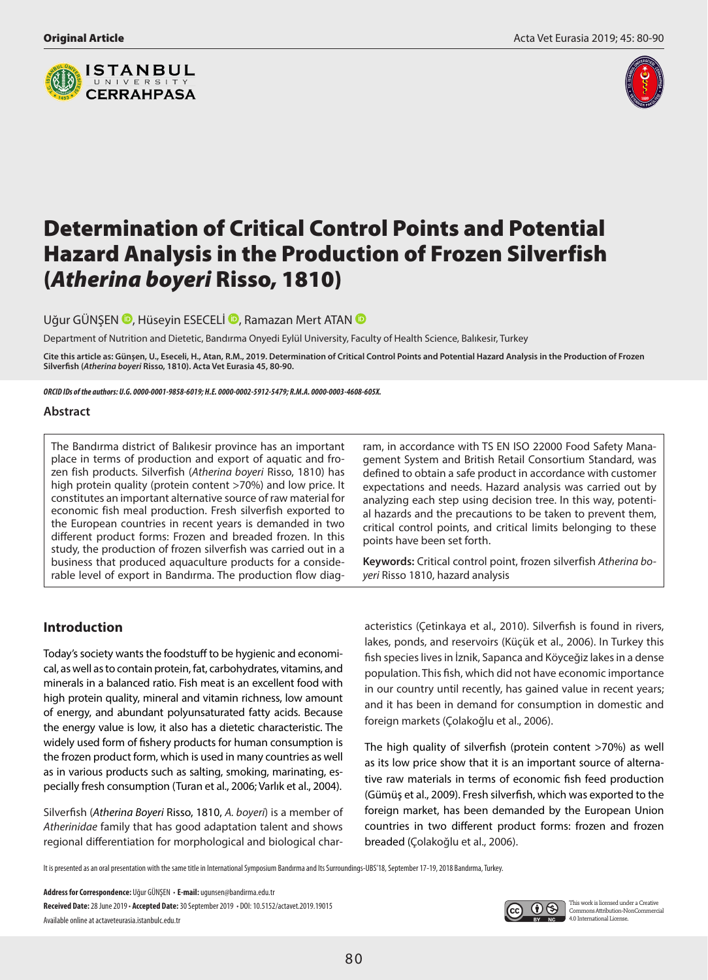



# Determination of Critical Control Points and Potential Hazard Analysis in the Production of Frozen Silverfish (*Atherina boyeri* Risso, 1810)

UğurGÜNŞEN **D**, Hüseyin ESECELİ **D**, Ramazan Mert ATAN **D** 

Department of Nutrition and Dietetic, Bandırma Onyedi Eylül University, Faculty of Health Science, Balıkesir, Turkey

**Cite this article as: Günşen, U., Eseceli, H., Atan, R.M., 2019. Determination of Critical Control Points and Potential Hazard Analysis in the Production of Frozen Silverfish (***Atherina boyeri* **Risso, 1810). Acta Vet Eurasia 45, 80-90.**

*ORCID IDs of the authors: U.G. 0000-0001-9858-6019; H.E. 0000-0002-5912-5479; R.M.A. 0000-0003-4608-605X.*

#### **Abstract**

The Bandırma district of Balıkesir province has an important place in terms of production and export of aquatic and frozen fish products. Silverfish (*Atherina boyeri* Risso, 1810) has high protein quality (protein content >70%) and low price. It constitutes an important alternative source of raw material for economic fish meal production. Fresh silverfish exported to the European countries in recent years is demanded in two different product forms: Frozen and breaded frozen. In this study, the production of frozen silverfish was carried out in a business that produced aquaculture products for a considerable level of export in Bandırma. The production flow diagram, in accordance with TS EN ISO 22000 Food Safety Management System and British Retail Consortium Standard, was defined to obtain a safe product in accordance with customer expectations and needs. Hazard analysis was carried out by analyzing each step using decision tree. In this way, potential hazards and the precautions to be taken to prevent them, critical control points, and critical limits belonging to these points have been set forth.

**Keywords:** Critical control point, frozen silverfish *Atherina boyeri* Risso 1810, hazard analysis

# **Introduction**

Today's society wants the foodstuff to be hygienic and economical, as well as to contain protein, fat, carbohydrates, vitamins, and minerals in a balanced ratio. Fish meat is an excellent food with high protein quality, mineral and vitamin richness, low amount of energy, and abundant polyunsaturated fatty acids. Because the energy value is low, it also has a dietetic characteristic. The widely used form of fishery products for human consumption is the frozen product form, which is used in many countries as well as in various products such as salting, smoking, marinating, especially fresh consumption (Turan et al., 2006; Varlık et al., 2004).

Silverfish (*Atherina Boyeri* Risso, 1810, *A. boyeri*) is a member of *Atherinidae* family that has good adaptation talent and shows regional differentiation for morphological and biological characteristics (Çetinkaya et al., 2010). Silverfish is found in rivers, lakes, ponds, and reservoirs (Küçük et al., 2006). In Turkey this fish species lives in İznik, Sapanca and Köyceğiz lakes in a dense population. This fish, which did not have economic importance in our country until recently, has gained value in recent years; and it has been in demand for consumption in domestic and foreign markets (Çolakoğlu et al., 2006).

The high quality of silverfish (protein content >70%) as well as its low price show that it is an important source of alternative raw materials in terms of economic fish feed production (Gümüş et al., 2009). Fresh silverfish, which was exported to the foreign market, has been demanded by the European Union countries in two different product forms: frozen and frozen breaded (Çolakoğlu et al., 2006).

It is presented as an oral presentation with the same title in International Symposium Bandırma and Its Surroundings-UBS'18, September 17-19, 2018 Bandırma, Turkey.

**Address for Correspondence:** Uğur GÜNŞEN • **E-mail:** ugunsen@bandirma.edu.tr **Received Date:** 28 June 2019 • **Accepted Date:** 30 September 2019 • DOI: 10.5152/actavet.2019.19015 Available online at actaveteurasia.istanbulc.edu.tr

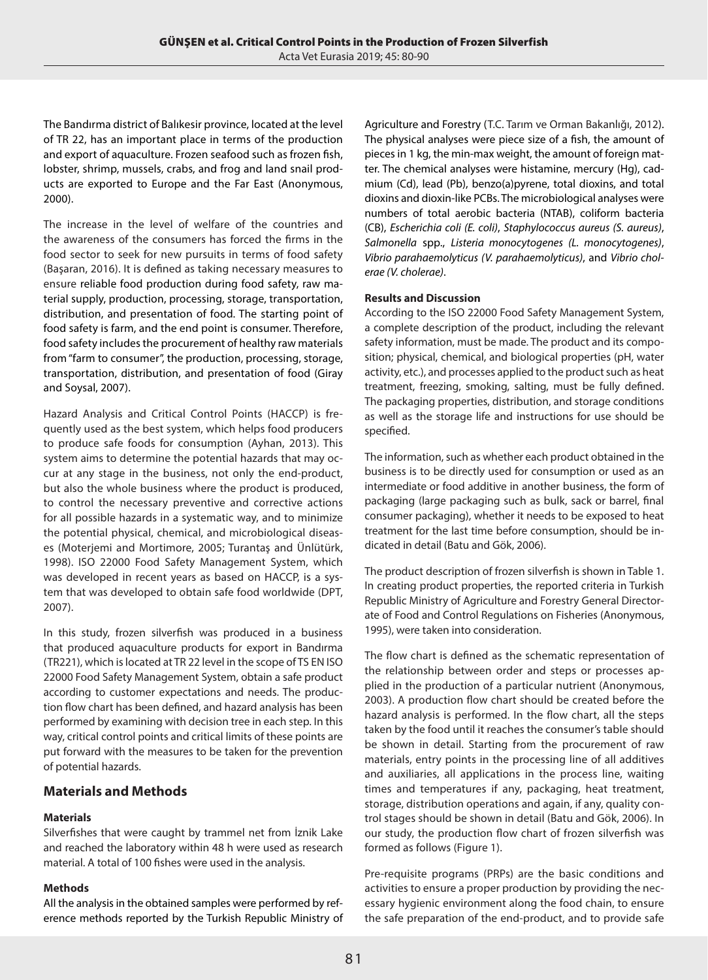The Bandırma district of Balıkesir province, located at the level of TR 22, has an important place in terms of the production and export of aquaculture. Frozen seafood such as frozen fish, lobster, shrimp, mussels, crabs, and frog and land snail products are exported to Europe and the Far East (Anonymous, 2000).

The increase in the level of welfare of the countries and the awareness of the consumers has forced the firms in the food sector to seek for new pursuits in terms of food safety (Başaran, 2016). It is defined as taking necessary measures to ensure reliable food production during food safety, raw material supply, production, processing, storage, transportation, distribution, and presentation of food. The starting point of food safety is farm, and the end point is consumer. Therefore, food safety includes the procurement of healthy raw materials from "farm to consumer", the production, processing, storage, transportation, distribution, and presentation of food (Giray and Soysal, 2007).

Hazard Analysis and Critical Control Points (HACCP) is frequently used as the best system, which helps food producers to produce safe foods for consumption (Ayhan, 2013). This system aims to determine the potential hazards that may occur at any stage in the business, not only the end-product, but also the whole business where the product is produced, to control the necessary preventive and corrective actions for all possible hazards in a systematic way, and to minimize the potential physical, chemical, and microbiological diseases (Moterjemi and Mortimore, 2005; Turantaş and Ünlütürk, 1998). ISO 22000 Food Safety Management System, which was developed in recent years as based on HACCP, is a system that was developed to obtain safe food worldwide (DPT, 2007).

In this study, frozen silverfish was produced in a business that produced aquaculture products for export in Bandırma (TR221), which is located at TR 22 level in the scope of TS EN ISO 22000 Food Safety Management System, obtain a safe product according to customer expectations and needs. The production flow chart has been defined, and hazard analysis has been performed by examining with decision tree in each step. In this way, critical control points and critical limits of these points are put forward with the measures to be taken for the prevention of potential hazards.

# **Materials and Methods**

## **Materials**

Silverfishes that were caught by trammel net from İznik Lake and reached the laboratory within 48 h were used as research material. A total of 100 fishes were used in the analysis.

### **Methods**

All the analysis in the obtained samples were performed by reference methods reported by the Turkish Republic Ministry of Agriculture and Forestry (T.C. Tarım ve Orman Bakanlığı, 2012). The physical analyses were piece size of a fish, the amount of pieces in 1 kg, the min-max weight, the amount of foreign matter. The chemical analyses were histamine, mercury (Hg), cadmium (Cd), lead (Pb), benzo(a)pyrene, total dioxins, and total dioxins and dioxin-like PCBs. The microbiological analyses were numbers of total aerobic bacteria (NTAB), coliform bacteria (CB), *Escherichia coli (E. coli)*, *Staphylococcus aureus (S. aureus)*, *Salmonella* spp., *Listeria monocytogenes (L. monocytogenes)*, *Vibrio parahaemolyticus (V. parahaemolyticus)*, and *Vibrio cholerae (V. cholerae)*.

### **Results and Discussion**

According to the ISO 22000 Food Safety Management System, a complete description of the product, including the relevant safety information, must be made. The product and its composition; physical, chemical, and biological properties (pH, water activity, etc.), and processes applied to the product such as heat treatment, freezing, smoking, salting, must be fully defined. The packaging properties, distribution, and storage conditions as well as the storage life and instructions for use should be specified.

The information, such as whether each product obtained in the business is to be directly used for consumption or used as an intermediate or food additive in another business, the form of packaging (large packaging such as bulk, sack or barrel, final consumer packaging), whether it needs to be exposed to heat treatment for the last time before consumption, should be indicated in detail (Batu and Gök, 2006).

The product description of frozen silverfish is shown in Table 1. In creating product properties, the reported criteria in Turkish Republic Ministry of Agriculture and Forestry General Directorate of Food and Control Regulations on Fisheries (Anonymous, 1995), were taken into consideration.

The flow chart is defined as the schematic representation of the relationship between order and steps or processes applied in the production of a particular nutrient (Anonymous, 2003). A production flow chart should be created before the hazard analysis is performed. In the flow chart, all the steps taken by the food until it reaches the consumer's table should be shown in detail. Starting from the procurement of raw materials, entry points in the processing line of all additives and auxiliaries, all applications in the process line, waiting times and temperatures if any, packaging, heat treatment, storage, distribution operations and again, if any, quality control stages should be shown in detail (Batu and Gök, 2006). In our study, the production flow chart of frozen silverfish was formed as follows (Figure 1).

Pre-requisite programs (PRPs) are the basic conditions and activities to ensure a proper production by providing the necessary hygienic environment along the food chain, to ensure the safe preparation of the end-product, and to provide safe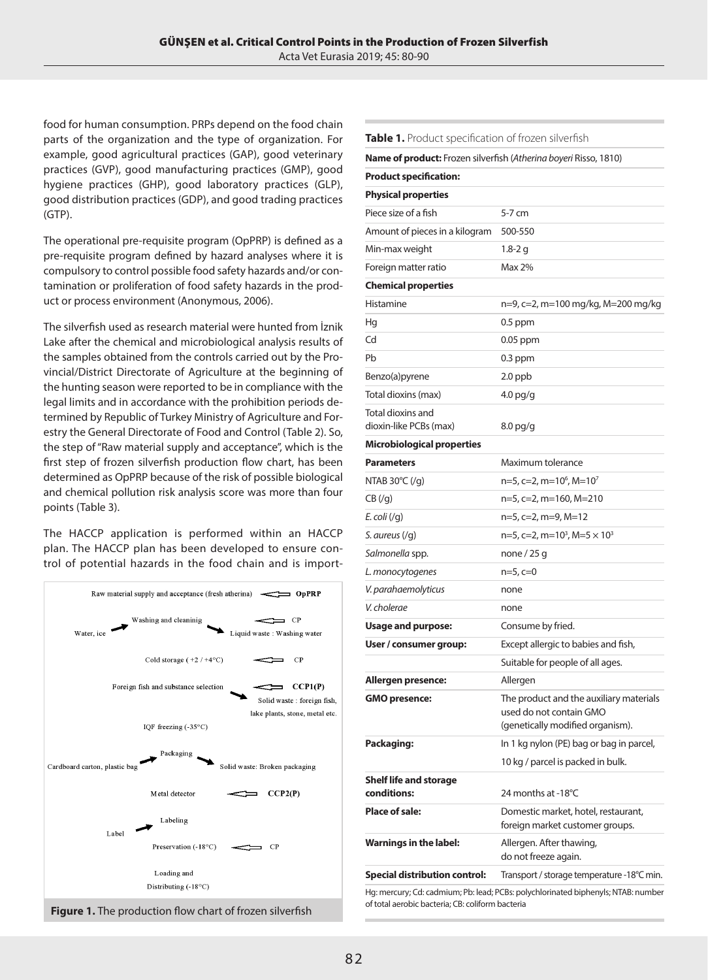food for human consumption. PRPs depend on the food chain parts of the organization and the type of organization. For example, good agricultural practices (GAP), good veterinary practices (GVP), good manufacturing practices (GMP), good hygiene practices (GHP), good laboratory practices (GLP), good distribution practices (GDP), and good trading practices (GTP).

The operational pre-requisite program (OpPRP) is defined as a pre-requisite program defined by hazard analyses where it is compulsory to control possible food safety hazards and/or contamination or proliferation of food safety hazards in the product or process environment (Anonymous, 2006).

The silverfish used as research material were hunted from İznik Lake after the chemical and microbiological analysis results of the samples obtained from the controls carried out by the Provincial/District Directorate of Agriculture at the beginning of the hunting season were reported to be in compliance with the legal limits and in accordance with the prohibition periods determined by Republic of Turkey Ministry of Agriculture and Forestry the General Directorate of Food and Control (Table 2). So, the step of "Raw material supply and acceptance", which is the first step of frozen silverfish production flow chart, has been determined as OpPRP because of the risk of possible biological and chemical pollution risk analysis score was more than four points (Table 3).

The HACCP application is performed within an HACCP plan. The HACCP plan has been developed to ensure control of potential hazards in the food chain and is import-



**Table 1.** Product specification of frozen silverfish

| Name of product: Frozen silverfish (Atherina boyeri Risso, 1810) |                                                                                                        |
|------------------------------------------------------------------|--------------------------------------------------------------------------------------------------------|
| <b>Product specification:</b>                                    |                                                                                                        |
| <b>Physical properties</b>                                       |                                                                                                        |
| Piece size of a fish                                             | 5-7 cm                                                                                                 |
| Amount of pieces in a kilogram                                   | 500-550                                                                                                |
| Min-max weight                                                   | 1.8-2 g                                                                                                |
| Foreign matter ratio                                             | Max 2%                                                                                                 |
| <b>Chemical properties</b>                                       |                                                                                                        |
| Histamine                                                        | n=9, c=2, m=100 mg/kg, M=200 mg/kg                                                                     |
| Hg                                                               | $0.5$ ppm                                                                                              |
| Cd                                                               | 0.05 ppm                                                                                               |
| Pb                                                               | $0.3$ ppm                                                                                              |
| Benzo(a)pyrene                                                   | $2.0$ ppb                                                                                              |
| Total dioxins (max)                                              | $4.0$ pg/g                                                                                             |
| Total dioxins and<br>dioxin-like PCBs (max)                      | $8.0$ pg/g                                                                                             |
| <b>Microbiological properties</b>                                |                                                                                                        |
| <b>Parameters</b>                                                | Maximum tolerance                                                                                      |
| NTAB $30^{\circ}$ C (/q)                                         | $n=5$ , c=2, m=10 <sup>6</sup> , M=10 <sup>7</sup>                                                     |
| CB(yg)                                                           | n=5, c=2, m=160, M=210                                                                                 |
| E. coli $(\sqrt{q})$                                             | n=5, c=2, m=9, M=12                                                                                    |
| S. aureus $(yg)$                                                 | $n=5$ , c=2, m=10 <sup>3</sup> , M=5 $\times$ 10 <sup>3</sup>                                          |
| Salmonella spp.                                                  | none $/$ 25 g                                                                                          |
| L. monocytogenes                                                 | n=5, c=0                                                                                               |
| V. parahaemolyticus                                              | none                                                                                                   |
| V. cholerae                                                      | none                                                                                                   |
| Usage and purpose:                                               | Consume by fried.                                                                                      |
| User / consumer group:                                           | Except allergic to babies and fish,                                                                    |
|                                                                  | Suitable for people of all ages.                                                                       |
| Allergen presence:                                               | Allergen                                                                                               |
| <b>GMO</b> presence:                                             | The product and the auxiliary materials<br>used do not contain GMO<br>(genetically modified organism). |
| Packaging:                                                       | In 1 kg nylon (PE) bag or bag in parcel,                                                               |
|                                                                  | 10 kg / parcel is packed in bulk.                                                                      |
| <b>Shelf life and storage</b><br>conditions:                     | 24 months at -18°C                                                                                     |
| Place of sale:                                                   | Domestic market, hotel, restaurant,<br>foreign market customer groups.                                 |
| Warnings in the label:                                           | Allergen. After thawing,<br>do not freeze again.                                                       |
| <b>Special distribution control:</b>                             | Transport / storage temperature -18°C min.                                                             |
| of total aerobic bacteria: CR: coliform bacteria                 | Hg: mercury; Cd: cadmium; Pb: lead; PCBs: polychlorinated biphenyls; NTAB: number                      |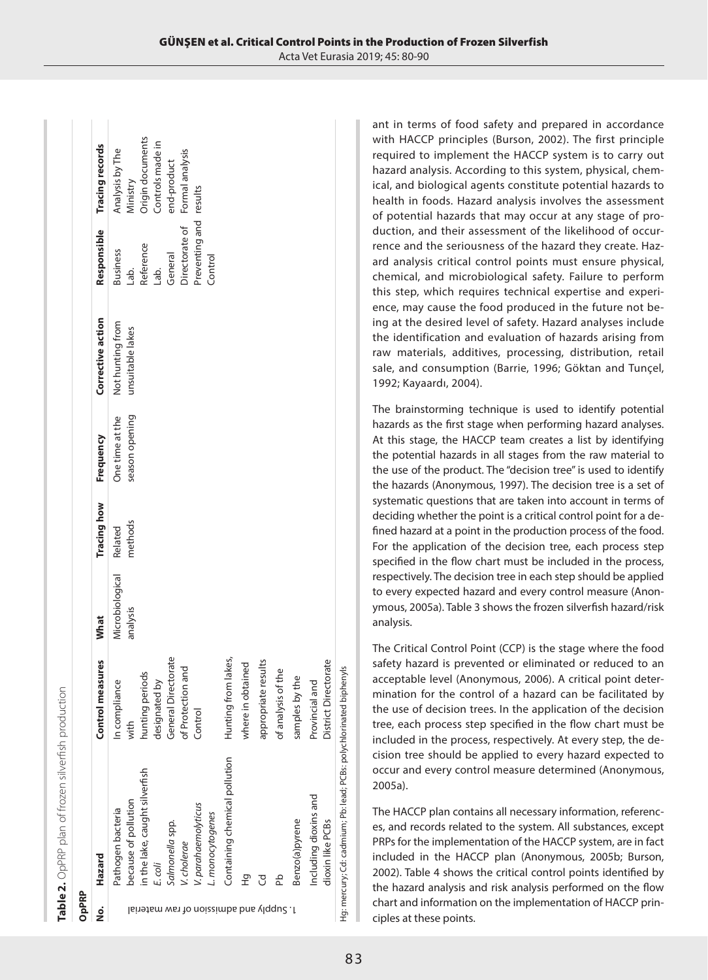| ļ<br>$\ddot{\phantom{a}}$                                                                           |        |
|-----------------------------------------------------------------------------------------------------|--------|
| <br> -<br>  Carlo Carlo China Conte<br>うこう こうこうしょう<br>l<br>l<br>$\frac{1}{2}$<br>5<br>able 2. OnPPP | ć<br>j |

| ş                                      | Hazard                                                              | Control measures     | What            | <b>Tracing how</b> | Frequency       | Corrective action | Responsible            | Tracing records  |
|----------------------------------------|---------------------------------------------------------------------|----------------------|-----------------|--------------------|-----------------|-------------------|------------------------|------------------|
|                                        | Pathogen bacteria                                                   | In compliance        | Microbiological | Related            | One time at the | Not hunting from  | <b>Business</b>        | Analysis by The  |
|                                        | because of pollution                                                | with                 | analysis        | methods            | season opening  | unsuitable lakes  | Lab.                   | Ministry         |
|                                        | in the lake, caught silverfish                                      | hunting periods      |                 |                    |                 |                   | Reference              | Origin documents |
|                                        | E. coli                                                             | designated by        |                 |                    |                 |                   | Lab.                   | Controls made in |
|                                        | Salmonella spp.                                                     | General Directorate  |                 |                    |                 |                   | General                | end-product      |
|                                        | V. cholerae                                                         | of Protection and    |                 |                    |                 |                   | Directorate of         | Formal analysis  |
|                                        | V. parahaemolyticus                                                 | Control              |                 |                    |                 |                   | Preventing and results |                  |
|                                        | L. monocytogenes                                                    |                      |                 |                    |                 |                   | Control                |                  |
|                                        | Containing chemical pollution                                       | Hunting from lakes,  |                 |                    |                 |                   |                        |                  |
|                                        | 오                                                                   | in obtained<br>where |                 |                    |                 |                   |                        |                  |
|                                        | F                                                                   | appropriate results  |                 |                    |                 |                   |                        |                  |
| Isi1916m ws1 to noizzimbs bns ylqqu2.1 | Ъp                                                                  | of analysis of the   |                 |                    |                 |                   |                        |                  |
|                                        | Benzo(a)pyrene                                                      | samples by the       |                 |                    |                 |                   |                        |                  |
|                                        | Including dioxins and                                               | Provincial and       |                 |                    |                 |                   |                        |                  |
|                                        | dioxin like PCBs                                                    | District Directorate |                 |                    |                 |                   |                        |                  |
|                                        | Hg: mercury; Cd: cadmium; Pb: lead; PCBs: polychlorinated biphenyls |                      |                 |                    |                 |                   |                        |                  |

ant in terms of food safety and prepared in accordance with HACCP principles (Burson, 2002). The first principle required to implement the HACCP system is to carry out hazard analysis. According to this system, physical, chemical, and biological agents constitute potential hazards to health in foods. Hazard analysis involves the assessment of potential hazards that may occur at any stage of production, and their assessment of the likelihood of occurrence and the seriousness of the hazard they create. Hazard analysis critical control points must ensure physical, chemical, and microbiological safety. Failure to perform this step, which requires technical expertise and experience, may cause the food produced in the future not being at the desired level of safety. Hazard analyses include the identification and evaluation of hazards arising from raw materials, additives, processing, distribution, retail sale, and consumption (Barrie, 1996; Göktan and Tunçel, 1992; Kayaardı, 2004).

The brainstorming technique is used to identify potential hazards as the first stage when performing hazard analyses. At this stage, the HACCP team creates a list by identifying the potential hazards in all stages from the raw material to the use of the product. The "decision tree" is used to identify the hazards (Anonymous, 1997). The decision tree is a set of systematic questions that are taken into account in terms of deciding whether the point is a critical control point for a defined hazard at a point in the production process of the food. For the application of the decision tree, each process step specified in the flow chart must be included in the process, respectively. The decision tree in each step should be applied to every expected hazard and every control measure (Anonymous, 2005a). Table 3 shows the frozen silverfish hazard/risk analysis.

The Critical Control Point (CCP) is the stage where the food safety hazard is prevented or eliminated or reduced to an acceptable level (Anonymous, 2006). A critical point determination for the control of a hazard can be facilitated by the use of decision trees. In the application of the decision tree, each process step specified in the flow chart must be included in the process, respectively. At every step, the decision tree should be applied to every hazard expected to occur and every control measure determined (Anonymous, 2005a).

The HACCP plan contains all necessary information, references, and records related to the system. All substances, except PRPs for the implementation of the HACCP system, are in fact included in the HACCP plan (Anonymous, 2005b; Burson, 2002). Table 4 shows the critical control points identified by the hazard analysis and risk analysis performed on the flow chart and information on the implementation of HACCP principles at these points.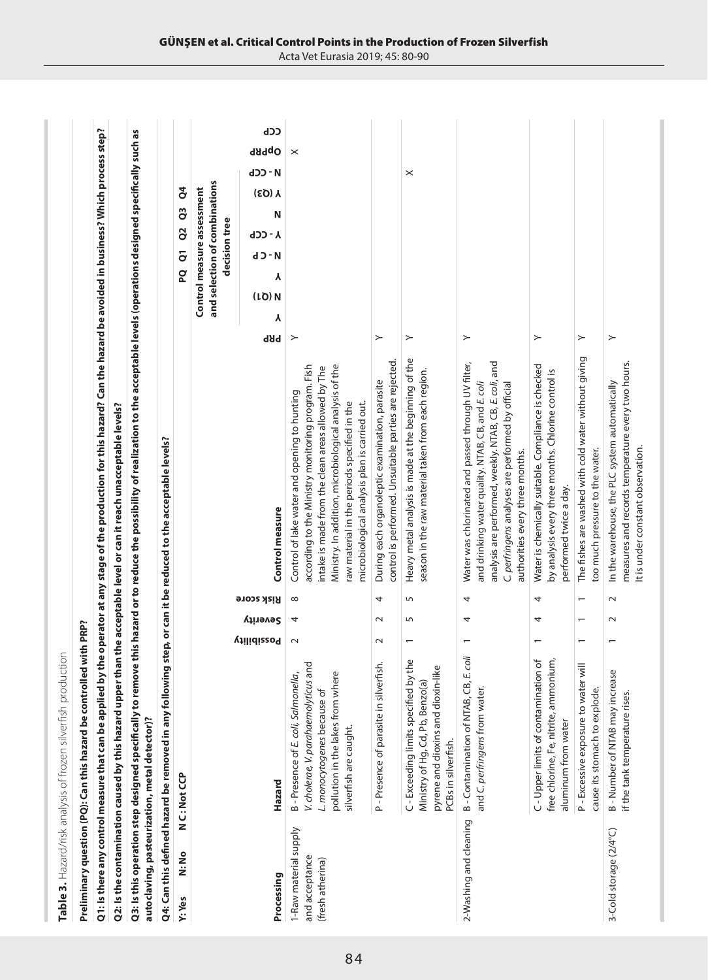|                                                             | Table 3. Hazard/risk analysis of frozen silverfish production                                                                                                                     |                          |                |                          |                                                                                                                                                                                                                                                                                                                     |                                                                                                      |
|-------------------------------------------------------------|-----------------------------------------------------------------------------------------------------------------------------------------------------------------------------------|--------------------------|----------------|--------------------------|---------------------------------------------------------------------------------------------------------------------------------------------------------------------------------------------------------------------------------------------------------------------------------------------------------------------|------------------------------------------------------------------------------------------------------|
|                                                             | Preliminary question (PQ): Can this hazard be controlled with PRP?                                                                                                                |                          |                |                          |                                                                                                                                                                                                                                                                                                                     |                                                                                                      |
|                                                             |                                                                                                                                                                                   |                          |                |                          | Q1: Is there any control measure that can be applied by the operator at any stage of the production for this hazard? Can the hazard be avoided in business? Which process step?                                                                                                                                     |                                                                                                      |
|                                                             | Q2: Is the contamination caused by this hazard upper                                                                                                                              |                          |                |                          | than the acceptable level or can it reach unacceptable levels?                                                                                                                                                                                                                                                      |                                                                                                      |
| autoclaving, pasteurization, metal detector)?               |                                                                                                                                                                                   |                          |                |                          | Q3: Is this operation step designed specifically to remove this hazard or to reduce the possibility of realization to the acceptable levels (operations designed specifically such as                                                                                                                               |                                                                                                      |
|                                                             | Q4: Can this defined hazard be removed in any following step, or can it be reduced to the acceptable levels?                                                                      |                          |                |                          |                                                                                                                                                                                                                                                                                                                     |                                                                                                      |
| N:No<br>Y: Yes                                              | N C: Not CCP                                                                                                                                                                      |                          |                |                          |                                                                                                                                                                                                                                                                                                                     | $\mathsf{S}^4$<br>o<br>O<br>2o<br>PQ <sub>Q1</sub>                                                   |
|                                                             |                                                                                                                                                                                   |                          |                |                          |                                                                                                                                                                                                                                                                                                                     | and selection of combinations<br>Control measure assessment<br>decision tree                         |
| Processing                                                  | Hazard                                                                                                                                                                            | <b>vilidizzo</b> 9       | Severity       | Risk score               | Control measure                                                                                                                                                                                                                                                                                                     | ረርኮ<br>OpPRP<br>d - CCb<br>(EQ) Y<br>Ν<br>ባጋጋ - Y<br><b>d</b> - C b<br>γ<br>(1Q)N<br>γ<br><b>PRP</b> |
| 1-Raw material supply<br>and acceptance<br>(fresh atherina) | and<br>Φ<br>B - Presence of E. coli, Salmonella,<br>pollution in the lakes from wher<br>V. cholerae, V. parahaemolyticus<br>L. monocytogenes because of<br>silverfish are caught. | $\sim$                   | 4              | ${}^{\circ}$             | Ministry. In addition, microbiological analysis of the<br>according to the Ministry monitoring program. Fish<br>intake is made from the clean areas allowed by The<br>Control of lake water and opening to hunting<br>raw material in the periods specified in the<br>microbiological analysis plan is carried out. | $\times$<br>≻                                                                                        |
|                                                             | fish.<br>P - Presence of parasite in silver                                                                                                                                       | $\sim$                   | $\sim$         | 4                        | control is performed. Unsuitable parties are rejected.<br>During each organoleptic examination, parasite                                                                                                                                                                                                            | ≻                                                                                                    |
|                                                             | the<br>pyrene and dioxins and dioxin-like<br>C-Exceeding limits specified by<br>Ministry of Hg, Cd, Pb, Benzo(a)<br>PCBs in silverfish.                                           | $\overline{\phantom{0}}$ | 5              | 5                        | Heavy metal analysis is made at the beginning of the<br>season in the raw material taken from each region.                                                                                                                                                                                                          | ×<br>≻                                                                                               |
| 2-Washing and cleaning                                      | B - Contamination of NTAB, CB, E. coli<br>and C. perfringens from water.                                                                                                          | $\overline{\phantom{0}}$ | 4              | 4                        | analysis are performed, weekly. NTAB, CB, E. coli, and<br>Water was chlorinated and passed through UV filter,<br>and drinking water quality. NTAB, CB, and E. coli<br>C. perfringens analyses are performed by official<br>authorities every three months.                                                          | ≻                                                                                                    |
|                                                             | C-Upper limits of contamination of<br>free chlorine, Fe, nitrite, ammonium,<br>aluminum from water                                                                                | $\overline{ }$           | 4              | 4                        | Water is chemically suitable. Compliance is checked<br>by analysis every three months. Chlorine control is<br>performed twice a day.                                                                                                                                                                                | ≻                                                                                                    |
|                                                             | $\overline{\mathbf{v}}$<br>P - Excessive exposure to water<br>cause its stomach to explode.                                                                                       | $\overline{\phantom{0}}$ | $\overline{ }$ | $\overline{\phantom{0}}$ | The fishes are washed with cold water without giving<br>too much pressure to the water.                                                                                                                                                                                                                             | ≻                                                                                                    |
| 3-Cold storage (2/4°C)                                      | 9S<br>B - Number of NTAB may increar<br>if the tank temperature rises.                                                                                                            | $\overline{ }$           | $\sim$         | $\sim$                   | measures and records temperature every two hours.<br>In the warehouse, the PLC system automatically<br>It is under constant observation.                                                                                                                                                                            | $\succ$                                                                                              |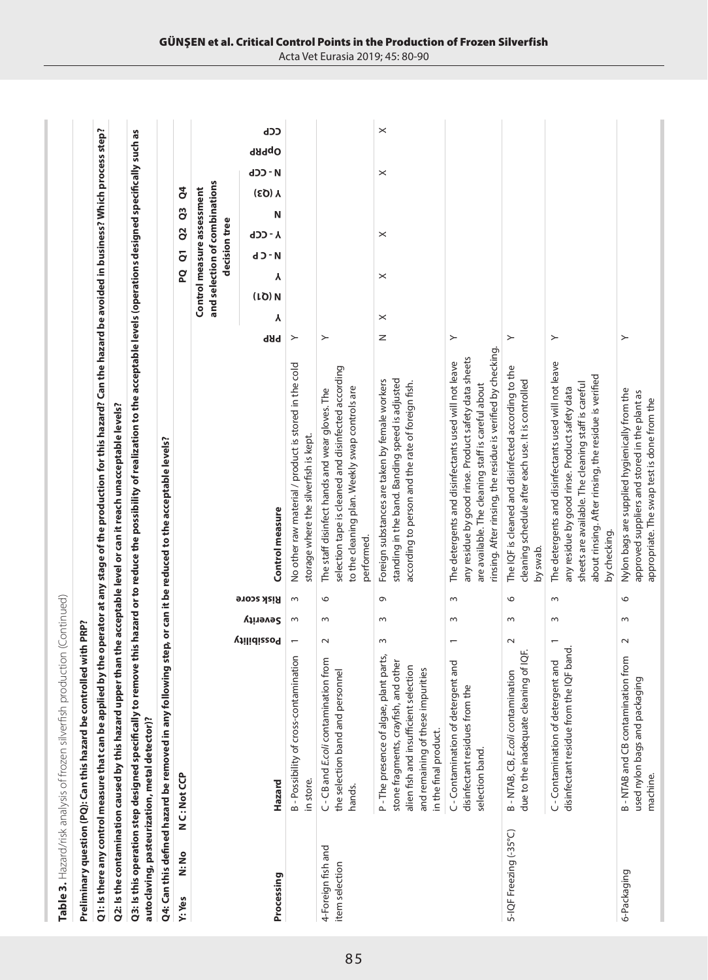|                                      | Table 3. Hazard/risk analysis of frozen silverfish production (Continued)                                                                                                            |                          |          |                   |                                                                                                                                                                                                                                             |                                                             |                         |               |                |        |          |              |  |
|--------------------------------------|--------------------------------------------------------------------------------------------------------------------------------------------------------------------------------------|--------------------------|----------|-------------------|---------------------------------------------------------------------------------------------------------------------------------------------------------------------------------------------------------------------------------------------|-------------------------------------------------------------|-------------------------|---------------|----------------|--------|----------|--------------|--|
|                                      | Preliminary question (PQ): Can this hazard be controlled with PRP?                                                                                                                   |                          |          |                   |                                                                                                                                                                                                                                             |                                                             |                         |               |                |        |          |              |  |
|                                      |                                                                                                                                                                                      |                          |          |                   | Q1: Is there any control measure that can be applied by the operator at any stage of the production for this hazard? Can the hazard be avoided in business? Which process step?                                                             |                                                             |                         |               |                |        |          |              |  |
|                                      |                                                                                                                                                                                      |                          |          |                   | Q2: Is the contamination caused by this hazard upper than the acceptable level or can it reach unacceptable levels?                                                                                                                         |                                                             |                         |               |                |        |          |              |  |
|                                      | autoclaving, pasteurization, metal detector)?                                                                                                                                        |                          |          |                   | Q3: Is this operation step designed specifically to remove this hazard or to reduce the possibility of realization to the acceptable levels (operations designed specifically such as                                                       |                                                             |                         |               |                |        |          |              |  |
|                                      | Q4: Can this defined hazard be removed in any followin                                                                                                                               |                          |          |                   | ng step, or can it be reduced to the acceptable levels?                                                                                                                                                                                     |                                                             |                         |               |                |        |          |              |  |
| N:No<br>Y: Yes                       | N C: Not CCP                                                                                                                                                                         |                          |          |                   |                                                                                                                                                                                                                                             | q                                                           | $\overline{\mathsf{c}}$ | 2o            | C <sub>3</sub> | ð      |          |              |  |
|                                      |                                                                                                                                                                                      |                          |          |                   |                                                                                                                                                                                                                                             | and selection of combinations<br>Control measure assessment |                         | decision tree |                |        |          |              |  |
| Processing                           | Hazard                                                                                                                                                                               | <b>Vilidizzo9</b>        | Severity | <b>Bisk score</b> | <b>bBb</b><br>Control measure                                                                                                                                                                                                               | γ<br>(LO) N<br>γ                                            | <b>d - C b</b>          | <b>A-CCP</b>  | Ν              | (EQ) Y | d - CCb  | CCb<br>OpPRP |  |
|                                      | B - Possibility of cross-contamination<br>in store                                                                                                                                   | $\overline{\phantom{0}}$ | S        | $\sim$            | ≻<br>No other raw material / product is stored in the cold<br>storage where the silverfish is kept.                                                                                                                                         |                                                             |                         |               |                |        |          |              |  |
| 4-Foreign fish and<br>item selection | C - CB and E.coli contamination from<br>the selection band and personnel<br>hands.                                                                                                   | $\sim$                   | $\sim$   | 6                 | ≻<br>selection tape is cleaned and disinfected according<br>to the cleaning plan. Weekly swap controls are<br>The staff disinfect hands and wear gloves. The<br>performed.                                                                  |                                                             |                         |               |                |        |          |              |  |
|                                      | P-The presence of algae, plant parts,<br>stone fragments, crayfish, and other<br>alien fish and insufficient selection<br>and remaining of these impurities<br>in the final product. | 3                        | S        | $\sigma$          | z<br>standing in the band. Banding speed is adjusted<br>Foreign substances are taken by female workers<br>according to person and the rate of foreign fish.                                                                                 | $\times$<br>$\times$                                        |                         | $\times$      |                |        | $\times$ | $\times$     |  |
|                                      | and<br>C-Contamination of detergent<br>disinfectant residues from the<br>selection band.                                                                                             | $\overline{\phantom{0}}$ | $\sim$   | $\sim$            | ≻<br>rinsing. After rinsing, the residue is verified by checking.<br>any residue by good rinse. Product safety data sheets<br>The detergents and disinfectants used will not leave<br>are available. The cleaning staff is careful about    |                                                             |                         |               |                |        |          |              |  |
| 5-IQF Freezing (-35°C)               | of IQF.<br>B - NTAB, CB, E.coli contamination<br>due to the inadequate cleaning                                                                                                      | $\sim$                   | $\sim$   | 6                 | $\succ$<br>The IQF is cleaned and disinfected according to the<br>cleaning schedule after each use. It is controlled<br>by swab.                                                                                                            |                                                             |                         |               |                |        |          |              |  |
|                                      | F band<br>and<br>disinfectant residue from the IQI<br>C-Contamination of detergent                                                                                                   | $\overline{ }$           | S        | $\sim$            | ≻<br>The detergents and disinfectants used will not leave<br>about rinsing. After rinsing, the residue is verified<br>sheets are available. The cleaning staff is careful<br>any residue by good rinse. Product safety data<br>by checking. |                                                             |                         |               |                |        |          |              |  |
| 6-Packaging                          | B - NTAB and CB contamination from<br>used nylon bags and packaging<br>machine.                                                                                                      | $\sim$                   | $\sim$   | $\circ$           | $\succ$<br>Nylon bags are supplied hygienically from the<br>approved suppliers and stored in the plant as<br>appropriate. The swap test is done from the                                                                                    |                                                             |                         |               |                |        |          |              |  |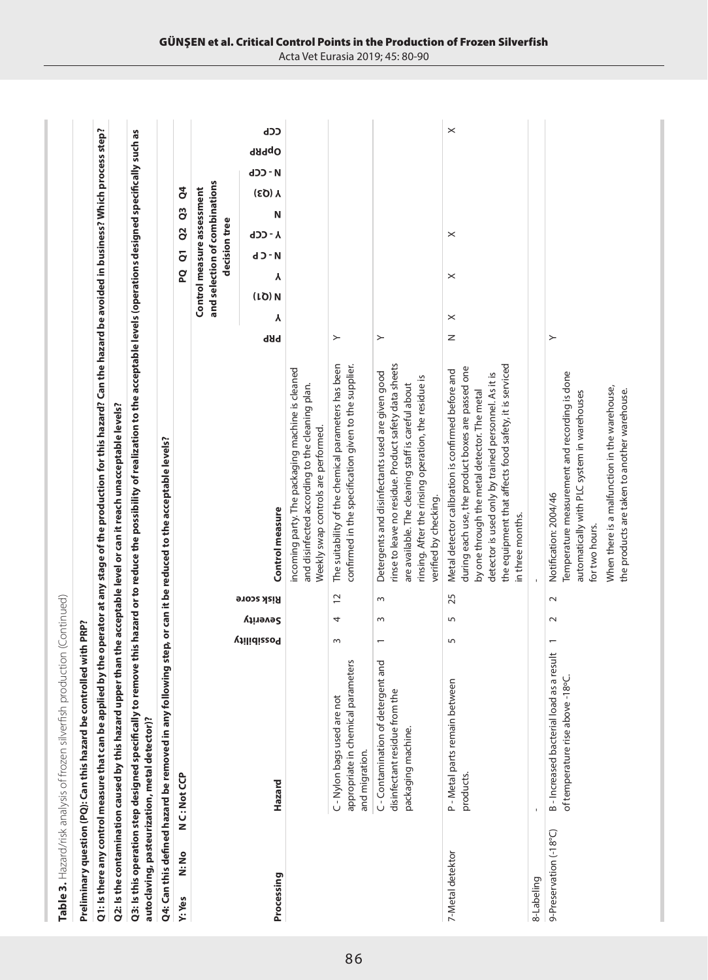|                        | Table 3. Hazard/risk analysis of frozen silverfish production (Continued)                                    |                |          |                   |                                                                                                                                                                                                                                                                                               |                                                                                                                       |
|------------------------|--------------------------------------------------------------------------------------------------------------|----------------|----------|-------------------|-----------------------------------------------------------------------------------------------------------------------------------------------------------------------------------------------------------------------------------------------------------------------------------------------|-----------------------------------------------------------------------------------------------------------------------|
|                        | Preliminary question (PQ): Can this hazard be controlled with PRP?                                           |                |          |                   |                                                                                                                                                                                                                                                                                               |                                                                                                                       |
|                        |                                                                                                              |                |          |                   | Q1: Is there any control measure that can be applied by the operator at any stage of the production for this hazard? Can the hazard be avoided in business? Which process step?                                                                                                               |                                                                                                                       |
|                        | Q2: Is the contamination caused by this hazard upper                                                         |                |          |                   | than the acceptable level or can it reach unacceptable levels?                                                                                                                                                                                                                                |                                                                                                                       |
|                        | autoclaving, pasteurization, metal detector)?                                                                |                |          |                   | Q3: Is this operation step designed specifically to remove this hazard or to reduce the possibility of realization to the acceptable levels (operations designed specifically such as                                                                                                         |                                                                                                                       |
|                        | Q4: Can this defined hazard be removed in any following step, or can it be reduced to the acceptable levels? |                |          |                   |                                                                                                                                                                                                                                                                                               |                                                                                                                       |
| N:No<br>Y: Yes         | N C: Not CP                                                                                                  |                |          |                   |                                                                                                                                                                                                                                                                                               | $\mathsf{S}^4$<br>C <sub>3</sub><br>Q <sub>2</sub><br>$\overline{c}$<br><b>Q</b>                                      |
|                        |                                                                                                              |                |          |                   |                                                                                                                                                                                                                                                                                               | and selection of combinations<br>Control measure assessment<br>decision tree                                          |
| Processing             | Hazard                                                                                                       | Possibility    | Severity | <b>Risk score</b> | Control measure                                                                                                                                                                                                                                                                               | ረርኮ<br>OpPRP<br><b>H-CCP</b><br>$(50)$ Y<br>Ν<br><b>Y - CCP</b><br><b>d</b> - C b<br>γ<br>$(1Q)$ N<br>γ<br><b>bBb</b> |
|                        |                                                                                                              |                |          |                   | incoming party. The packaging machine is cleaned<br>and disinfected according to the cleaning plan.<br>Weekly swap controls are performed.                                                                                                                                                    |                                                                                                                       |
|                        | appropriate in chemical parameters<br>C-Nylon bags used are not<br>and migration.                            | $\sim$         | 4        | $\overline{c}$    | The suitability of the chemical parameters has been<br>confirmed in the specification given to the supplier.                                                                                                                                                                                  | $\succ$                                                                                                               |
|                        | and<br>C-Contamination of detergent<br>disinfectant residue from the<br>packaging machine.                   | $\overline{ }$ | Z        | $\sim$            | rinse to leave no residue. Product safety data sheets<br>Detergents and disinfectants used are given good<br>rinsing. After the rinsing operation, the residue is<br>are available. The cleaning staff is careful about<br>verified by checking.                                              | $\succ$                                                                                                               |
| 7-Metal detektor       | P - Metal parts remain between<br>products.                                                                  | 5              | 5        | 25                | the equipment that affects food safety, it is serviced<br>during each use, the product boxes are passed one<br>Metal detector calibration is confirmed before and<br>detector is used only by trained personnel. As it is<br>by one through the metal detector. The metal<br>in three months. | $\times$<br>$\times$<br>$\times$<br>$\times$<br>Z                                                                     |
| 8-Labeling             |                                                                                                              |                |          |                   |                                                                                                                                                                                                                                                                                               |                                                                                                                       |
| 9-Preservation (-18°C) | result<br>B-Increased bacterial load as a I<br>of temperature rise above -18°C.                              | $\overline{a}$ | $\sim$   | $\sim$            | Temperature measurement and recording is done<br>When there is a malfunction in the warehouse,<br>the products are taken to another warehouse.<br>automatically with PLC system in warehouses<br>Notification: 2004/46<br>for two hours.                                                      | $\succ$                                                                                                               |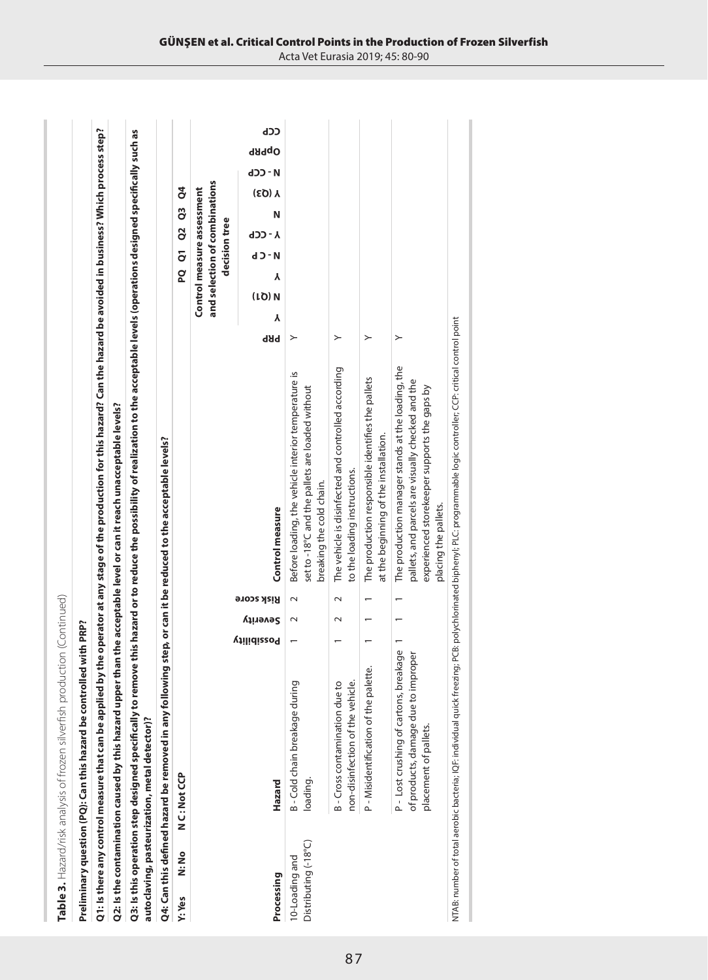|                                        | Table 3. Hazard/risk analysis of frozen silverfish production (Continued)                                           |                  |                          |                   |                                                                                                                                                                                       |                  |                                                             |                |                |    |               |              |       |     |
|----------------------------------------|---------------------------------------------------------------------------------------------------------------------|------------------|--------------------------|-------------------|---------------------------------------------------------------------------------------------------------------------------------------------------------------------------------------|------------------|-------------------------------------------------------------|----------------|----------------|----|---------------|--------------|-------|-----|
|                                        | lled with PRP?<br>Preliminary question (PQ): Can this hazard be contro                                              |                  |                          |                   |                                                                                                                                                                                       |                  |                                                             |                |                |    |               |              |       |     |
|                                        | Q1: Is there any control measure that can be applied                                                                |                  |                          |                   | by the operator at any stage of the production for this hazard? Can the hazard be avoided in business? Which process step?                                                            |                  |                                                             |                |                |    |               |              |       |     |
|                                        | Q2: Is the contamination caused by this hazard upper than the acceptable level or can it reach unacceptable levels? |                  |                          |                   |                                                                                                                                                                                       |                  |                                                             |                |                |    |               |              |       |     |
|                                        | autoclaving, pasteurization, metal detector)?                                                                       |                  |                          |                   | Q3: Is this operation step designed specifically to remove this hazard or to reduce the possibility of realization to the acceptable levels (operations designed specifically such as |                  |                                                             |                |                |    |               |              |       |     |
|                                        | Q4: Can this defined hazard be removed in any following step, or can it be reduced to the acceptable levels?        |                  |                          |                   |                                                                                                                                                                                       |                  |                                                             |                |                |    |               |              |       |     |
| N:No<br>Y: Yes                         | N C: Not CP                                                                                                         |                  |                          |                   |                                                                                                                                                                                       |                  | <u>၀</u>                                                    | $\overline{c}$ | $\overline{a}$ | C3 | ð             |              |       |     |
|                                        |                                                                                                                     |                  |                          |                   |                                                                                                                                                                                       |                  | and selection of combinations<br>Control measure assessment | decision tree  |                |    |               |              |       |     |
| Processing                             | Hazard                                                                                                              | <b>vilidizzo</b> | Severity                 | <b>Bisk score</b> | Control measure                                                                                                                                                                       | γ<br><b>b</b> Bb | γ<br>(1Q)N                                                  | d - C b        | <b>A-CCP</b>   | N  | <b>Y (Q3)</b> | <b>H-CCP</b> | OpPRP | ረርኮ |
| Distributing (-18°C)<br>10-Loading and | B - Cold chain breakage during<br>loading.                                                                          |                  | $\sim$                   | $\sim$            | Before loading, the vehicle interior temperature is<br>set to -18°C and the pallets are loaded without<br>breaking the cold chain.                                                    | ≻                |                                                             |                |                |    |               |              |       |     |
|                                        | B-Cross contamination due to<br>non-disinfection of the vehicle                                                     |                  | $\sim$                   | $\sim$            | The vehicle is disinfected and controlled according<br>to the loading instructions.                                                                                                   | ≻                |                                                             |                |                |    |               |              |       |     |
|                                        | P-Misidentification of the palette.                                                                                 |                  |                          |                   | The production responsible identifies the pallets<br>at the beginning of the installation.                                                                                            | ≻                |                                                             |                |                |    |               |              |       |     |
|                                        | P-Lost crushing of cartons, breakage<br>of products, damage due to improper<br>placement of pallets.                |                  | $\overline{\phantom{0}}$ |                   | The production manager stands at the loading, the<br>pallets, and parcels are visually checked and the<br>experienced storekeeper supports the gaps by<br>placing the pallets.        | ≻                |                                                             |                |                |    |               |              |       |     |
|                                        |                                                                                                                     |                  |                          |                   | NTAB: number of total aerobic bacteria; IQF: individual quick freezing; PCB: polychlorinated bipheny); PLC: programmable logic controller; CCP: critical control point                |                  |                                                             |                |                |    |               |              |       |     |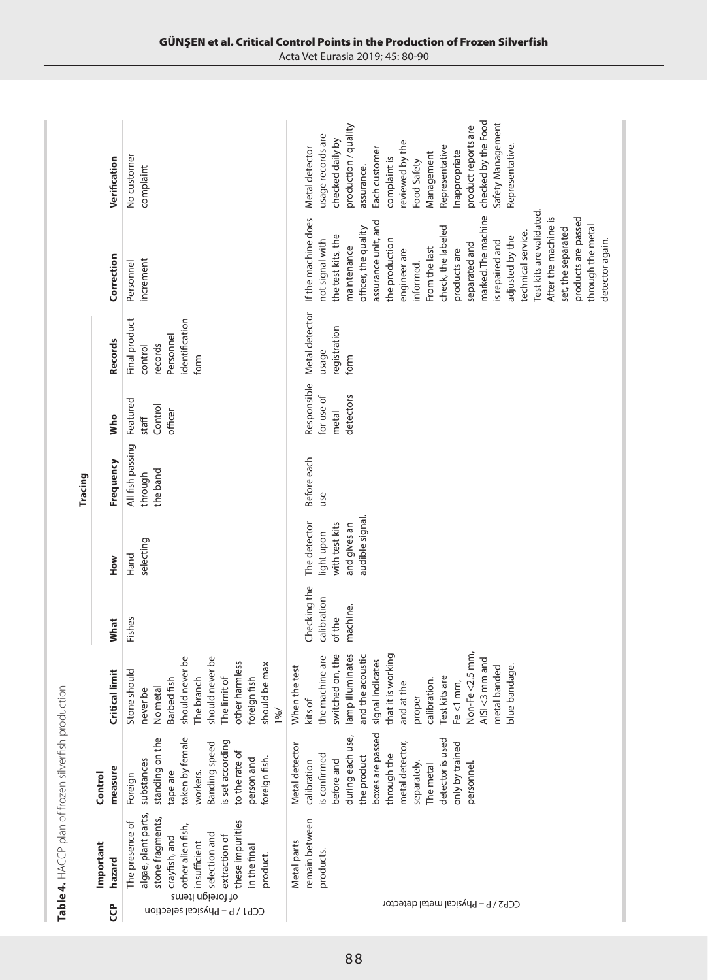|                                                                                                                                                                                                                                                         |                                                                                                                                                                                                                                      |                                                                                                                                                                                                                                                                                               |                                                   |                                                                                 | Tracing                                 |                                                 |                                                                            |                                                                                                                                                                                                                                                                                                                                                                                                                                                                              |                                                                                                                                                                                                                                                                                                        |
|---------------------------------------------------------------------------------------------------------------------------------------------------------------------------------------------------------------------------------------------------------|--------------------------------------------------------------------------------------------------------------------------------------------------------------------------------------------------------------------------------------|-----------------------------------------------------------------------------------------------------------------------------------------------------------------------------------------------------------------------------------------------------------------------------------------------|---------------------------------------------------|---------------------------------------------------------------------------------|-----------------------------------------|-------------------------------------------------|----------------------------------------------------------------------------|------------------------------------------------------------------------------------------------------------------------------------------------------------------------------------------------------------------------------------------------------------------------------------------------------------------------------------------------------------------------------------------------------------------------------------------------------------------------------|--------------------------------------------------------------------------------------------------------------------------------------------------------------------------------------------------------------------------------------------------------------------------------------------------------|
| Important<br>hazard<br>ဗ္                                                                                                                                                                                                                               | measure<br>Control                                                                                                                                                                                                                   | <b>Critical limit</b>                                                                                                                                                                                                                                                                         | What                                              | How                                                                             | Frequency                               | Who                                             | <b>Records</b>                                                             | Correction                                                                                                                                                                                                                                                                                                                                                                                                                                                                   | Verification                                                                                                                                                                                                                                                                                           |
| algae, plant parts,<br>stone fragments,<br>these impurities<br>The presence of<br>other alien fish,<br>selection and<br>extraction of<br>crayfish, and<br>insufficient<br>in the final<br>product.<br>of foreign items<br>CCP1 / P - Physical selection | standing on the<br>taken by female<br>is set according<br>Banding speed<br>to the rate of<br>person and<br>foreign fish.<br>substances<br>workers.<br>tape are<br>Foreign                                                            | should never be<br>should never be<br>other harmless<br>should be max<br>Stone should<br>The branch<br>foreign fish<br>Barbed fish<br>The limit of<br>No metal<br>never be<br>1%                                                                                                              | Fishes                                            | selecting<br>Hand                                                               | All fish passing<br>the band<br>through | Featured<br>Control<br>officer<br>staff         | Final product<br>identification<br>Personnel<br>records<br>control<br>form | increment<br>Personnel                                                                                                                                                                                                                                                                                                                                                                                                                                                       | No customer<br>complaint                                                                                                                                                                                                                                                                               |
| remain between<br>Metal parts<br>products.<br>CCP2 / P - Physical metal detector                                                                                                                                                                        | boxes are passed<br>during each use,<br>detector is used<br>metal detector,<br>only by trained<br>Metal detector<br>through the<br>is confirmed<br>the product<br>before and<br>calibration<br>separately.<br>personnel<br>The metal | Non-Fe <2.5 mm,<br>lamp illuminates<br>switched on, the<br>and the acoustic<br>that it is working<br>the machine are<br>AISI <3 mm and<br>signal indicates<br>When the test<br>metal banded<br>blue bandage.<br>Test kits are<br>calibration.<br>and at the<br>Fe <1 mm,<br>proper<br>kits of | Checking the<br>calibration<br>machine.<br>of the | audible signal.<br>The detector<br>with test kits<br>and gives an<br>light upon | Before each<br>use                      | Responsible<br>for use of<br>detectors<br>metal | Metal detector<br>registration<br>usage<br>form                            | Test kits are validated<br>marked. The machine<br>After the machine is<br>products are passed<br>If the machine does<br>assurance unit, and<br>through the metal<br>check, the labeled<br>officer, the quality<br>set, the separated<br>technical service.<br>the test kits, the<br>adjusted by the<br>the production<br>detector again.<br>not signal with<br>is repaired and<br>separated and<br>maintenance<br>From the last<br>engineer are<br>products are<br>informed. | checked by the Food<br>Safety Management<br>production / quality<br>product reports are<br>usage records are<br>checked daily by<br>reviewed by the<br>Representative<br>Representative<br>Metal detector<br>Each customer<br>Inappropriate<br>Management<br>complaint is<br>Food Safety<br>assurance. |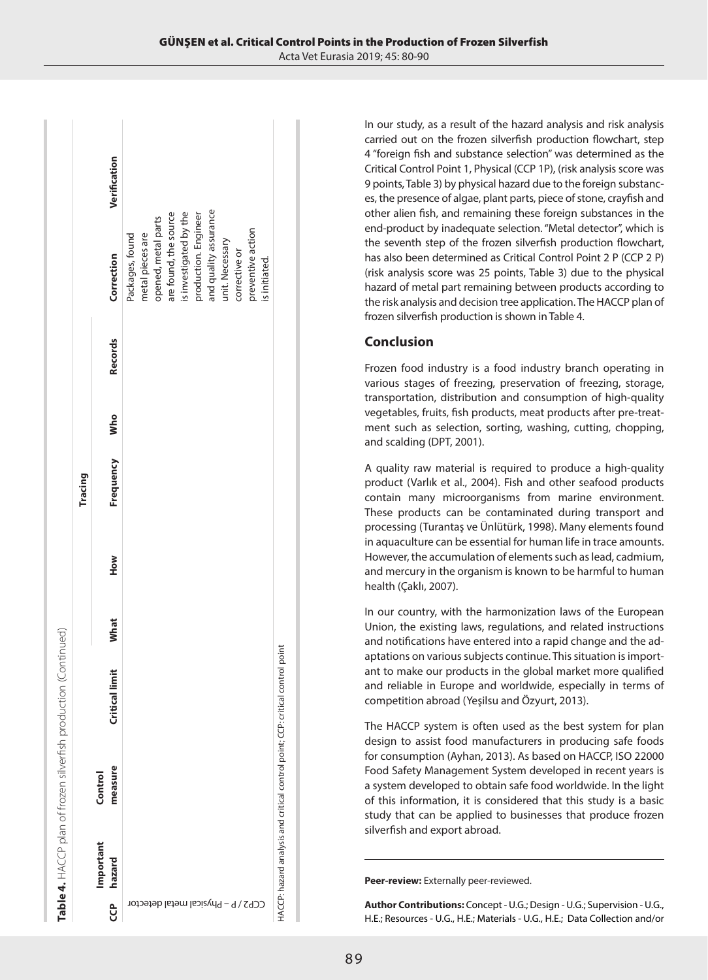|                                    |                    |                |      |     | Tracing   |     |                |                        |              |
|------------------------------------|--------------------|----------------|------|-----|-----------|-----|----------------|------------------------|--------------|
| Important<br>hazard<br>ဗ္မ         | measure<br>Control | Critical limit | What | How | Frequency | Who | <b>Records</b> | Correction             | Verification |
|                                    |                    |                |      |     |           |     |                | Packages, found        |              |
|                                    |                    |                |      |     |           |     |                | metal pieces are       |              |
|                                    |                    |                |      |     |           |     |                | opened, metal parts    |              |
|                                    |                    |                |      |     |           |     |                | are found, the source  |              |
|                                    |                    |                |      |     |           |     |                | is investigated by the |              |
| CCP2 / P - Physical metal detector |                    |                |      |     |           |     |                | production. Engineer   |              |
|                                    |                    |                |      |     |           |     |                | and quality assurance  |              |
|                                    |                    |                |      |     |           |     |                | unit. Necessary        |              |
|                                    |                    |                |      |     |           |     |                | corrective or          |              |
|                                    |                    |                |      |     |           |     |                | preventive action      |              |
|                                    |                    |                |      |     |           |     |                | is initiated.          |              |

In our study, as a result of the hazard analysis and risk analysis carried out on the frozen silverfish production flowchart, step 4 "foreign fish and substance selection" was determined as the Critical Control Point 1, Physical (CCP 1P), (risk analysis score was 9 points, Table 3) by physical hazard due to the foreign substances, the presence of algae, plant parts, piece of stone, crayfish and other alien fish, and remaining these foreign substances in the end-product by inadequate selection. "Metal detector", which is the seventh step of the frozen silverfish production flowchart, has also been determined as Critical Control Point 2 P (CCP 2 P) (risk analysis score was 25 points, Table 3) due to the physical hazard of metal part remaining between products according to the risk analysis and decision tree application. The HACCP plan of frozen silverfish production is shown in Table 4.

## **Conclusion**

Frozen food industry is a food industry branch operating in various stages of freezing, preservation of freezing, storage, transportation, distribution and consumption of high-quality vegetables, fruits, fish products, meat products after pre-treatment such as selection, sorting, washing, cutting, chopping, and scalding (DPT, 2001).

A quality raw material is required to produce a high-quality product (Varlık et al., 2004). Fish and other seafood products contain many microorganisms from marine environment. These products can be contaminated during transport and processing (Turantaş ve Ünlütürk, 1998). Many elements found in aquaculture can be essential for human life in trace amounts. However, the accumulation of elements such as lead, cadmium, and mercury in the organism is known to be harmful to human health (Çaklı, 2007).

In our country, with the harmonization laws of the European Union, the existing laws, regulations, and related instructions and notifications have entered into a rapid change and the adaptations on various subjects continue. This situation is important to make our products in the global market more qualified and reliable in Europe and worldwide, especially in terms of competition abroad (Yeşilsu and Özyurt, 2013).

The HACCP system is often used as the best system for plan design to assist food manufacturers in producing safe foods for consumption (Ayhan, 2013). As based on HACCP, ISO 22000 Food Safety Management System developed in recent years is a system developed to obtain safe food worldwide. In the light of this information, it is considered that this study is a basic study that can be applied to businesses that produce frozen silverfish and export abroad.

**Peer-review:** Externally peer-reviewed.

**Author Contributions:** Concept - U.G.; Design - U.G.; Supervision - U.G., H.E.; Resources - U.G., H.E.; Materials - U.G., H.E.; Data Collection and/or